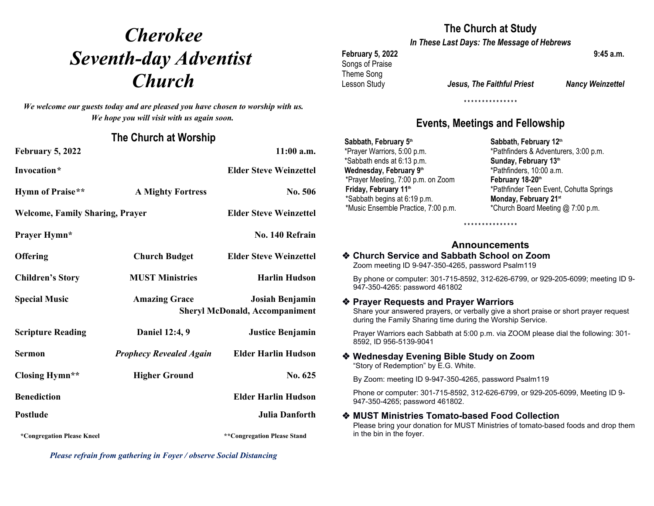# *Cherokee Seventh-day Adventist*  **Church** Lesson Study

*We welcome our guests today and are pleased you have chosen to worship with us. We hope you will visit with us again soon.*

## **The Church at Worship**

| <b>February 5, 2022</b>                |                                                                                  | $11:00$ a.m.                  | *Prayer Warriors, 5:00 p.m.<br>*Sabbath ends at 6:13 p.m.                                                                                                                                   | *Pathfinders & Adventurers, 3:00 p.m.<br>Sunday, February 13th   |
|----------------------------------------|----------------------------------------------------------------------------------|-------------------------------|---------------------------------------------------------------------------------------------------------------------------------------------------------------------------------------------|------------------------------------------------------------------|
| Invocation*                            |                                                                                  | <b>Elder Steve Weinzettel</b> | Wednesday, February 9th<br>*Prayer Meeting, 7:00 p.m. on Zoom                                                                                                                               | *Pathfinders, 10:00 a.m.<br>February 18-20th                     |
| <b>Hymn of Praise**</b>                | <b>A Mighty Fortress</b>                                                         | No. 506                       | Friday, February 11th<br>*Sabbath begins at 6:19 p.m.                                                                                                                                       | *Pathfinder Teen Event, Cohutta Springs<br>Monday, February 21st |
| <b>Welcome, Family Sharing, Prayer</b> |                                                                                  | <b>Elder Steve Weinzettel</b> | *Music Ensemble Practice, 7:00 p.m.                                                                                                                                                         | *Church Board Meeting @ 7:00 p.m.<br>***************             |
| <b>Prayer Hymn*</b>                    |                                                                                  | No. 140 Refrain               |                                                                                                                                                                                             |                                                                  |
|                                        |                                                                                  |                               | <b>Announcements</b>                                                                                                                                                                        |                                                                  |
| <b>Offering</b>                        | <b>Church Budget</b>                                                             | <b>Elder Steve Weinzettel</b> | ♦ Church Service and Sabbath School on Zoom<br>Zoom meeting ID 9-947-350-4265, password Psalm119                                                                                            |                                                                  |
| <b>Children's Story</b>                | <b>MUST Ministries</b>                                                           | <b>Harlin Hudson</b>          | By phone or computer: 301-715-8592, 312-626-6799, or 929-205-6099; meeting ID 9-<br>947-350-4265: password 461802                                                                           |                                                                  |
| <b>Special Music</b>                   | Josiah Benjamin<br><b>Amazing Grace</b><br><b>Sheryl McDonald, Accompaniment</b> |                               | ❖ Prayer Requests and Prayer Warriors<br>Share your answered prayers, or verbally give a short praise or short prayer request<br>during the Family Sharing time during the Worship Service. |                                                                  |
| <b>Scripture Reading</b>               | Daniel 12:4, 9                                                                   | <b>Justice Benjamin</b>       | Prayer Warriors each Sabbath at 5:00 p.m. via ZOOM please dial the following: 301-<br>8592, ID 956-5139-9041                                                                                |                                                                  |
| <b>Sermon</b>                          | <b>Prophecy Revealed Again</b>                                                   | <b>Elder Harlin Hudson</b>    | ❖ Wednesday Evening Bible Study on Zoom<br>"Story of Redemption" by E.G. White.                                                                                                             |                                                                  |
| <b>Closing Hymn**</b>                  | <b>Higher Ground</b>                                                             | No. 625                       | By Zoom: meeting ID 9-947-350-4265, password Psalm119                                                                                                                                       |                                                                  |
| <b>Benediction</b>                     | <b>Elder Harlin Hudson</b>                                                       |                               | Phone or computer: 301-715-8592, 312-626-6799, or 929-205-6099, Meeting ID 9-<br>947-350-4265; password 461802.                                                                             |                                                                  |
| Postlude                               |                                                                                  | Julia Danforth                | ◆ MUST Ministries Tomato-based Food Collection<br>Please bring your donation for MUST Ministries of tomato-based foods and drop them                                                        |                                                                  |
| *Congregation Please Kneel             |                                                                                  | **Congregation Please Stand   | in the bin in the fover.                                                                                                                                                                    |                                                                  |

*Please refrain from gathering in Foyer / observe Social Distancing*

# **The Church at Study**

*In These Last Days: The Message of Hebrews*

# **February 5, 2022 9:45 a.m.** Songs of Praise Theme Song

Lesson Study *Jesus, The Faithful Priest Nancy Weinzettel*

**\* \* \* \* \* \* \* \* \* \* \* \* \* \* \***

# **Events, Meetings and Fellowship**

**Sabbath, February 5th** \*Prayer Warriors, 5:00 p.m. \*Sabbath ends at 6:13 p.m. **Wednesday, February 9th** \*Prayer Meeting, 7:00 p.m. on Zoom **Friday, February 11th** \*Sabbath begins at 6:19 p.m. \*Music Ensemble Practice, 7:00 p.m. **Sabbath, February 12th** \*Pathfinders & Adventurers, 3:00 p.m. **Sunday, February 13th** \*Pathfinders, 10:00 a.m. **February 18-20th** \*Pathfinder Teen Event, Cohutta Springs **Monday, February 21st** \*Church Board Meeting @ 7:00 p.m.

# **Announcements**

### **Church Service and Sabbath School on Zoom** Zoom meeting ID 9-947-350-4265, password Psalm119